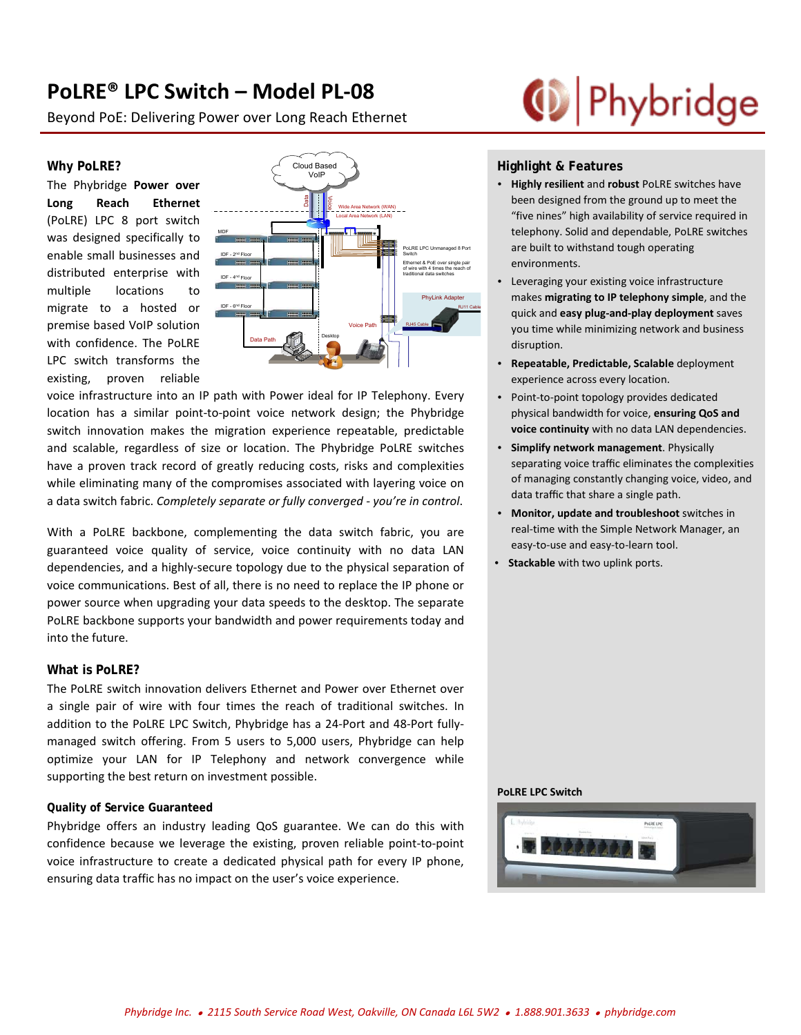# **PoLRE® LPC Switch – Model PL-08**

Beyond PoE: Delivering Power over Long Reach Ethernet

### **Why PoLRE?**

The Phybridge **Power over Long Reach Ethernet** (PoLRE) LPC 8 port switch was designed specifically to enable small businesses and distributed enterprise with multiple locations to migrate to a hosted or premise based VoIP solution with confidence. The PoLRE LPC switch transforms the existing, proven reliable



voice infrastructure into an IP path with Power ideal for IP Telephony. Every location has a similar point-to-point voice network design; the Phybridge switch innovation makes the migration experience repeatable, predictable and scalable, regardless of size or location. The Phybridge PoLRE switches have a proven track record of greatly reducing costs, risks and complexities while eliminating many of the compromises associated with layering voice on a data switch fabric. *Completely separate or fully converged - you're in control*.

With a PoLRE backbone, complementing the data switch fabric, you are guaranteed voice quality of service, voice continuity with no data LAN dependencies, and a highly-secure topology due to the physical separation of voice communications. Best of all, there is no need to replace the IP phone or power source when upgrading your data speeds to the desktop. The separate PoLRE backbone supports your bandwidth and power requirements today and into the future.

### **What is PoLRE?**

The PoLRE switch innovation delivers Ethernet and Power over Ethernet over a single pair of wire with four times the reach of traditional switches. In addition to the PoLRE LPC Switch, Phybridge has a 24-Port and 48-Port fullymanaged switch offering. From 5 users to 5,000 users, Phybridge can help optimize your LAN for IP Telephony and network convergence while supporting the best return on investment possible.

### **Quality of Service Guaranteed**

Phybridge offers an industry leading QoS guarantee. We can do this with confidence because we leverage the existing, proven reliable point-to-point voice infrastructure to create a dedicated physical path for every IP phone, ensuring data traffic has no impact on the user's voice experience.

# (D Phybridge

## **Highlight & Features**

- **Highly resilient** and **robust** PoLRE switches have been designed from the ground up to meet the "five nines" high availability of service required in telephony. Solid and dependable, PoLRE switches are built to withstand tough operating environments.
- Leveraging your existing voice infrastructure makes **migrating to IP telephony simple**, and the quick and **easy plug-and-play deployment** saves you time while minimizing network and business disruption.
- **Repeatable, Predictable, Scalable** deployment experience across every location.
- Point-to-point topology provides dedicated physical bandwidth for voice, **ensuring QoS and voice continuity** with no data LAN dependencies.
- **Simplify network management**. Physically separating voice traffic eliminates the complexities of managing constantly changing voice, video, and data traffic that share a single path.
- **Monitor, update and troubleshoot** switches in real-time with the Simple Network Manager, an easy-to-use and easy-to-learn tool.
- **Stackable** with two uplink ports.

#### **PoLRE LPC Switch**